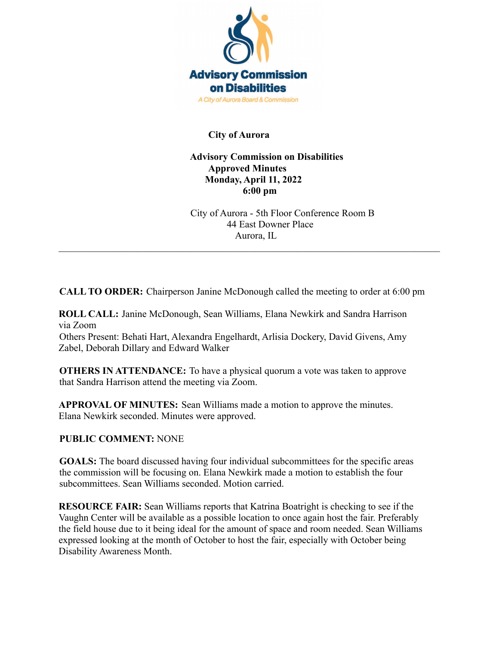

## **City of Aurora**

## **Advisory Commission on Disabilities Approved Minutes Monday, April 11, 2022 6:00 pm**

City of Aurora - 5th Floor Conference Room B 44 East Downer Place Aurora, IL

**CALL TO ORDER:** Chairperson Janine McDonough called the meeting to order at 6:00 pm

 $\mathcal{L}_\mathcal{L} = \{ \mathcal{L}_\mathcal{L} = \{ \mathcal{L}_\mathcal{L} = \{ \mathcal{L}_\mathcal{L} = \{ \mathcal{L}_\mathcal{L} = \{ \mathcal{L}_\mathcal{L} = \{ \mathcal{L}_\mathcal{L} = \{ \mathcal{L}_\mathcal{L} = \{ \mathcal{L}_\mathcal{L} = \{ \mathcal{L}_\mathcal{L} = \{ \mathcal{L}_\mathcal{L} = \{ \mathcal{L}_\mathcal{L} = \{ \mathcal{L}_\mathcal{L} = \{ \mathcal{L}_\mathcal{L} = \{ \mathcal{L}_\mathcal{$ 

**ROLL CALL:** Janine McDonough, Sean Williams, Elana Newkirk and Sandra Harrison via Zoom

Others Present: Behati Hart, Alexandra Engelhardt, Arlisia Dockery, David Givens, Amy Zabel, Deborah Dillary and Edward Walker

**OTHERS IN ATTENDANCE:** To have a physical quorum a vote was taken to approve that Sandra Harrison attend the meeting via Zoom.

**APPROVAL OF MINUTES:** Sean Williams made a motion to approve the minutes. Elana Newkirk seconded. Minutes were approved.

## **PUBLIC COMMENT:** NONE

**GOALS:** The board discussed having four individual subcommittees for the specific areas the commission will be focusing on. Elana Newkirk made a motion to establish the four subcommittees. Sean Williams seconded. Motion carried.

**RESOURCE FAIR:** Sean Williams reports that Katrina Boatright is checking to see if the Vaughn Center will be available as a possible location to once again host the fair. Preferably the field house due to it being ideal for the amount of space and room needed. Sean Williams expressed looking at the month of October to host the fair, especially with October being Disability Awareness Month.